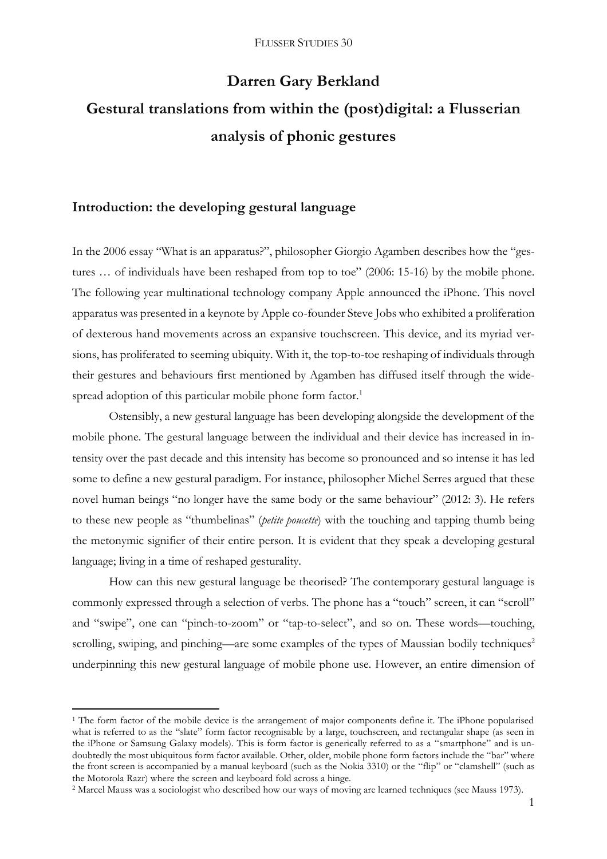# **Darren Gary Berkland Gestural translations from within the (post)digital: a Flusserian analysis of phonic gestures**

# **Introduction: the developing gestural language**

In the 2006 essay "What is an apparatus?", philosopher Giorgio Agamben describes how the "gestures ... of individuals have been reshaped from top to toe" (2006: 15-16) by the mobile phone. The following year multinational technology company Apple announced the iPhone. This novel apparatus was presented in a keynote by Apple co-founder Steve Jobs who exhibited a proliferation of dexterous hand movements across an expansive touchscreen. This device, and its myriad versions, has proliferated to seeming ubiquity. With it, the top-to-toe reshaping of individuals through their gestures and behaviours first mentioned by Agamben has diffused itself through the widespread adoption of this particular mobile phone form factor.<sup>1</sup>

Ostensibly, a new gestural language has been developing alongside the development of the mobile phone. The gestural language between the individual and their device has increased in intensity over the past decade and this intensity has become so pronounced and so intense it has led some to define a new gestural paradigm. For instance, philosopher Michel Serres argued that these novel human beings "no longer have the same body or the same behaviour" (2012: 3). He refers to these new people as "thumbelinas" (*petite poucette*) with the touching and tapping thumb being the metonymic signifier of their entire person. It is evident that they speak a developing gestural language; living in a time of reshaped gesturality.

How can this new gestural language be theorised? The contemporary gestural language is commonly expressed through a selection of verbs. The phone has a "touch" screen, it can "scroll" and "swipe", one can "pinch-to-zoom" or "tap-to-select", and so on. These words—touching, scrolling, swiping, and pinching—are some examples of the types of Maussian bodily techniques<sup>2</sup> underpinning this new gestural language of mobile phone use. However, an entire dimension of

 $\overline{a}$ 

<sup>&</sup>lt;sup>1</sup> The form factor of the mobile device is the arrangement of major components define it. The iPhone popularised what is referred to as the "slate" form factor recognisable by a large, touchscreen, and rectangular shape (as seen in the iPhone or Samsung Galaxy models). This is form factor is generically referred to as a "smartphone" and is undoubtedly the most ubiquitous form factor available. Other, older, mobile phone form factors include the "bar" where the front screen is accompanied by a manual keyboard (such as the Nokia 3310) or the "flip" or "clamshell" (such as the Motorola Razr) where the screen and keyboard fold across a hinge.

<sup>2</sup> Marcel Mauss was a sociologist who described how our ways of moving are learned techniques (see Mauss 1973).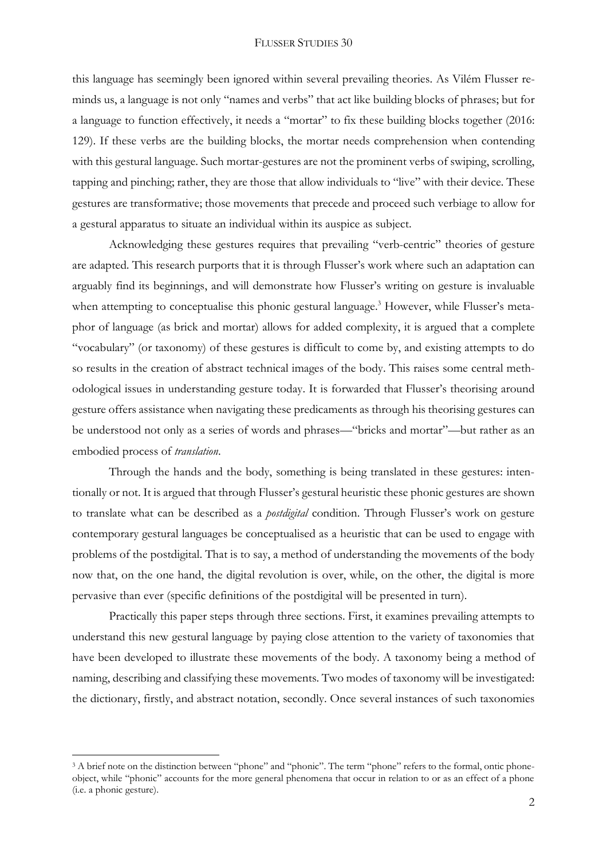this language has seemingly been ignored within several prevailing theories. As Vilém Flusser reminds us, a language is not only "names and verbs" that act like building blocks of phrases; but for a language to function effectively, it needs a "mortar" to fix these building blocks together (2016: 129). If these verbs are the building blocks, the mortar needs comprehension when contending with this gestural language. Such mortar-gestures are not the prominent verbs of swiping, scrolling, tapping and pinching; rather, they are those that allow individuals to "live" with their device. These gestures are transformative; those movements that precede and proceed such verbiage to allow for a gestural apparatus to situate an individual within its auspice as subject.

Acknowledging these gestures requires that prevailing "verb-centric" theories of gesture are adapted. This research purports that it is through Flusser's work where such an adaptation can arguably find its beginnings, and will demonstrate how Flusser's writing on gesture is invaluable when attempting to conceptualise this phonic gestural language.<sup>3</sup> However, while Flusser's metaphor of language (as brick and mortar) allows for added complexity, it is argued that a complete "vocabulary" (or taxonomy) of these gestures is difficult to come by, and existing attempts to do so results in the creation of abstract technical images of the body. This raises some central methodological issues in understanding gesture today. It is forwarded that Flusser's theorising around gesture offers assistance when navigating these predicaments as through his theorising gestures can be understood not only as a series of words and phrases—"bricks and mortar"—but rather as an embodied process of *translation*.

Through the hands and the body, something is being translated in these gestures: intentionally or not. It is argued that through Flusser's gestural heuristic these phonic gestures are shown to translate what can be described as a *postdigital* condition. Through Flusser's work on gesture contemporary gestural languages be conceptualised as a heuristic that can be used to engage with problems of the postdigital. That is to say, a method of understanding the movements of the body now that, on the one hand, the digital revolution is over, while, on the other, the digital is more pervasive than ever (specific definitions of the postdigital will be presented in turn).

Practically this paper steps through three sections. First, it examines prevailing attempts to understand this new gestural language by paying close attention to the variety of taxonomies that have been developed to illustrate these movements of the body. A taxonomy being a method of naming, describing and classifying these movements. Two modes of taxonomy will be investigated: the dictionary, firstly, and abstract notation, secondly. Once several instances of such taxonomies

 $\overline{a}$ 

<sup>&</sup>lt;sup>3</sup> A brief note on the distinction between "phone" and "phonic". The term "phone" refers to the formal, ontic phoneobject, while "phonic" accounts for the more general phenomena that occur in relation to or as an effect of a phone (i.e. a phonic gesture).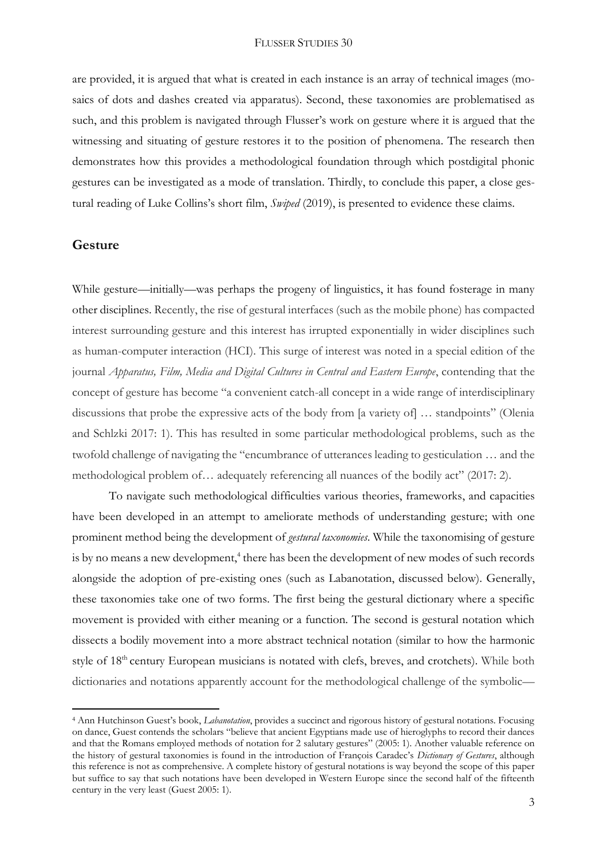are provided, it is argued that what is created in each instance is an array of technical images (mosaics of dots and dashes created via apparatus). Second, these taxonomies are problematised as such, and this problem is navigated through Flusser's work on gesture where it is argued that the witnessing and situating of gesture restores it to the position of phenomena. The research then demonstrates how this provides a methodological foundation through which postdigital phonic gestures can be investigated as a mode of translation. Thirdly, to conclude this paper, a close gestural reading of Luke Collins's short film, *Swiped* (2019), is presented to evidence these claims.

## **Gesture**

 $\overline{a}$ 

While gesture—initially—was perhaps the progeny of linguistics, it has found fosterage in many other disciplines. Recently, the rise of gestural interfaces (such as the mobile phone) has compacted interest surrounding gesture and this interest has irrupted exponentially in wider disciplines such as human-computer interaction (HCI). This surge of interest was noted in a special edition of the journal *Apparatus, Film, Media and Digital Cultures in Central and Eastern Europe*, contending that the concept of gesture has become "a convenient catch-all concept in a wide range of interdisciplinary discussions that probe the expressive acts of the body from [a variety of] … standpoints" (Olenia and Schlzki 2017: 1). This has resulted in some particular methodological problems, such as the twofold challenge of navigating the "encumbrance of utterances leading to gesticulation … and the methodological problem of… adequately referencing all nuances of the bodily act" (2017: 2).

To navigate such methodological difficulties various theories, frameworks, and capacities have been developed in an attempt to ameliorate methods of understanding gesture; with one prominent method being the development of *gestural taxonomies*. While the taxonomising of gesture is by no means a new development,<sup>4</sup> there has been the development of new modes of such records alongside the adoption of pre-existing ones (such as Labanotation, discussed below). Generally, these taxonomies take one of two forms. The first being the gestural dictionary where a specific movement is provided with either meaning or a function. The second is gestural notation which dissects a bodily movement into a more abstract technical notation (similar to how the harmonic style of 18<sup>th</sup> century European musicians is notated with clefs, breves, and crotchets). While both dictionaries and notations apparently account for the methodological challenge of the symbolic—

<sup>4</sup> Ann Hutchinson Guest's book, *Labanotation*, provides a succinct and rigorous history of gestural notations. Focusing on dance, Guest contends the scholars "believe that ancient Egyptians made use of hieroglyphs to record their dances and that the Romans employed methods of notation for 2 salutary gestures" (2005: 1). Another valuable reference on the history of gestural taxonomies is found in the introduction of François Caradec's *Dictionary of Gestures*, although this reference is not as comprehensive. A complete history of gestural notations is way beyond the scope of this paper but suffice to say that such notations have been developed in Western Europe since the second half of the fifteenth century in the very least (Guest 2005: 1).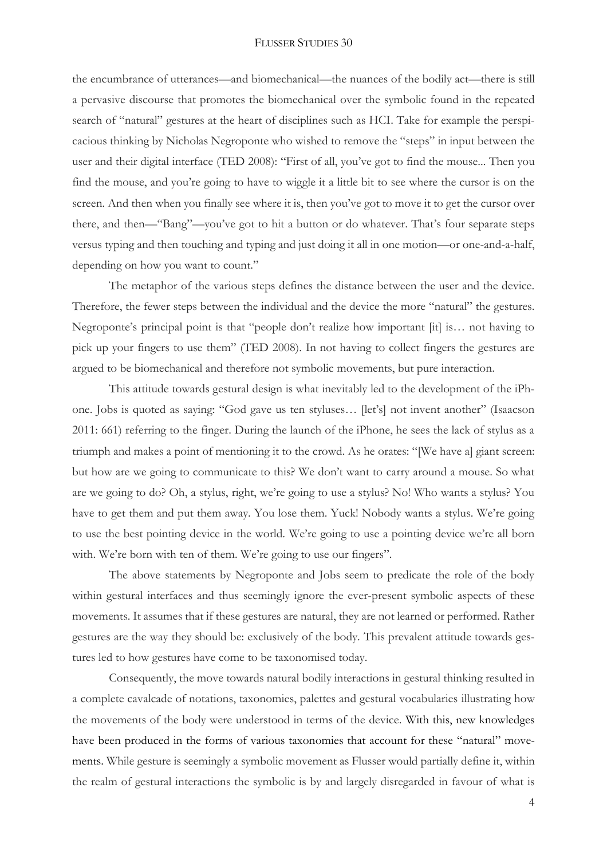the encumbrance of utterances—and biomechanical—the nuances of the bodily act—there is still a pervasive discourse that promotes the biomechanical over the symbolic found in the repeated search of "natural" gestures at the heart of disciplines such as HCI. Take for example the perspicacious thinking by Nicholas Negroponte who wished to remove the "steps" in input between the user and their digital interface (TED 2008): "First of all, you've got to find the mouse... Then you find the mouse, and you're going to have to wiggle it a little bit to see where the cursor is on the screen. And then when you finally see where it is, then you've got to move it to get the cursor over there, and then—"Bang"—you've got to hit a button or do whatever. That's four separate steps versus typing and then touching and typing and just doing it all in one motion—or one-and-a-half, depending on how you want to count."

The metaphor of the various steps defines the distance between the user and the device. Therefore, the fewer steps between the individual and the device the more "natural" the gestures. Negroponte's principal point is that "people don't realize how important [it] is… not having to pick up your fingers to use them" (TED 2008). In not having to collect fingers the gestures are argued to be biomechanical and therefore not symbolic movements, but pure interaction.

This attitude towards gestural design is what inevitably led to the development of the iPhone. Jobs is quoted as saying: "God gave us ten styluses… [let's] not invent another" (Isaacson 2011: 661) referring to the finger. During the launch of the iPhone, he sees the lack of stylus as a triumph and makes a point of mentioning it to the crowd. As he orates: "[We have a] giant screen: but how are we going to communicate to this? We don't want to carry around a mouse. So what are we going to do? Oh, a stylus, right, we're going to use a stylus? No! Who wants a stylus? You have to get them and put them away. You lose them. Yuck! Nobody wants a stylus. We're going to use the best pointing device in the world. We're going to use a pointing device we're all born with. We're born with ten of them. We're going to use our fingers".

The above statements by Negroponte and Jobs seem to predicate the role of the body within gestural interfaces and thus seemingly ignore the ever-present symbolic aspects of these movements. It assumes that if these gestures are natural, they are not learned or performed. Rather gestures are the way they should be: exclusively of the body. This prevalent attitude towards gestures led to how gestures have come to be taxonomised today.

Consequently, the move towards natural bodily interactions in gestural thinking resulted in a complete cavalcade of notations, taxonomies, palettes and gestural vocabularies illustrating how the movements of the body were understood in terms of the device. With this, new knowledges have been produced in the forms of various taxonomies that account for these "natural" movements. While gesture is seemingly a symbolic movement as Flusser would partially define it, within the realm of gestural interactions the symbolic is by and largely disregarded in favour of what is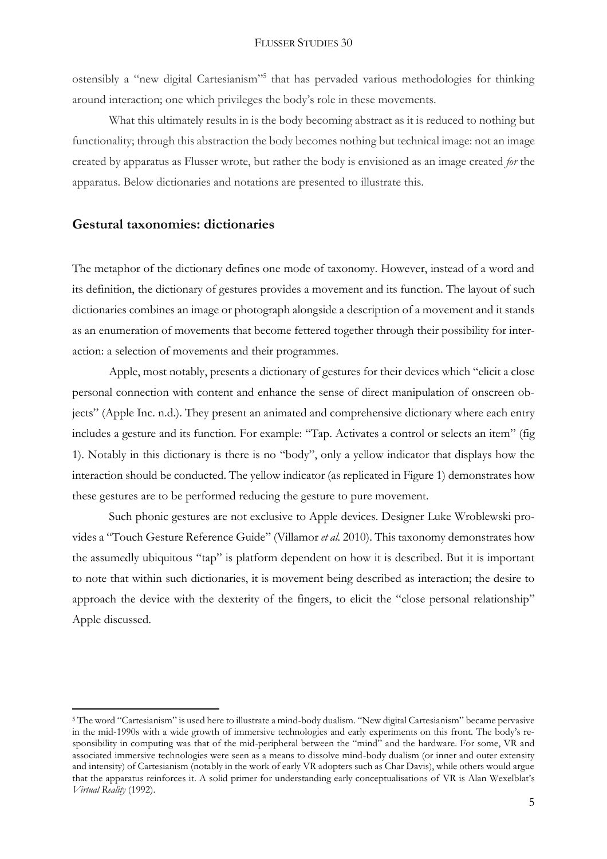ostensibly a "new digital Cartesianism" 5 that has pervaded various methodologies for thinking around interaction; one which privileges the body's role in these movements.

What this ultimately results in is the body becoming abstract as it is reduced to nothing but functionality; through this abstraction the body becomes nothing but technical image: not an image created by apparatus as Flusser wrote, but rather the body is envisioned as an image created *for* the apparatus. Below dictionaries and notations are presented to illustrate this.

## **Gestural taxonomies: dictionaries**

 $\overline{a}$ 

The metaphor of the dictionary defines one mode of taxonomy. However, instead of a word and its definition, the dictionary of gestures provides a movement and its function. The layout of such dictionaries combines an image or photograph alongside a description of a movement and it stands as an enumeration of movements that become fettered together through their possibility for interaction: a selection of movements and their programmes.

Apple, most notably, presents a dictionary of gestures for their devices which "elicit a close personal connection with content and enhance the sense of direct manipulation of onscreen objects" (Apple Inc. n.d.). They present an animated and comprehensive dictionary where each entry includes a gesture and its function. For example: "Tap. Activates a control or selects an item" (fig 1). Notably in this dictionary is there is no "body", only a yellow indicator that displays how the interaction should be conducted. The yellow indicator (as replicated in Figure 1) demonstrates how these gestures are to be performed reducing the gesture to pure movement.

Such phonic gestures are not exclusive to Apple devices. Designer Luke Wroblewski provides a "Touch Gesture Reference Guide" (Villamor *et al.* 2010). This taxonomy demonstrates how the assumedly ubiquitous "tap" is platform dependent on how it is described. But it is important to note that within such dictionaries, it is movement being described as interaction; the desire to approach the device with the dexterity of the fingers, to elicit the "close personal relationship" Apple discussed.

<sup>5</sup> The word "Cartesianism" is used here to illustrate a mind-body dualism. "New digital Cartesianism" became pervasive in the mid-1990s with a wide growth of immersive technologies and early experiments on this front. The body's responsibility in computing was that of the mid-peripheral between the "mind" and the hardware. For some, VR and associated immersive technologies were seen as a means to dissolve mind-body dualism (or inner and outer extensity and intensity) of Cartesianism (notably in the work of early VR adopters such as Char Davis), while others would argue that the apparatus reinforces it. A solid primer for understanding early conceptualisations of VR is Alan Wexelblat's *Virtual Reality* (1992).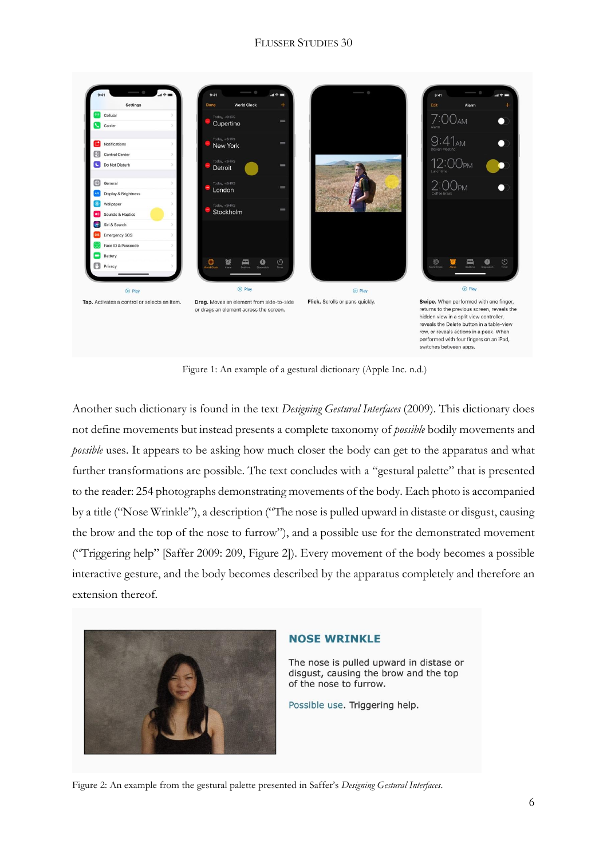

Figure 1: An example of a gestural dictionary (Apple Inc. n.d.)

Another such dictionary is found in the text *Designing Gestural Interfaces* (2009). This dictionary does not define movements but instead presents a complete taxonomy of *possible* bodily movements and *possible* uses. It appears to be asking how much closer the body can get to the apparatus and what further transformations are possible. The text concludes with a "gestural palette" that is presented to the reader: 254 photographs demonstrating movements of the body. Each photo is accompanied by a title ("Nose Wrinkle"), a description ("The nose is pulled upward in distaste or disgust, causing the brow and the top of the nose to furrow"), and a possible use for the demonstrated movement ("Triggering help" [Saffer 2009: 209, Figure 2]). Every movement of the body becomes a possible interactive gesture, and the body becomes described by the apparatus completely and therefore an extension thereof.



#### **NOSE WRINKLE**

The nose is pulled upward in distase or disgust, causing the brow and the top of the nose to furrow.

Possible use. Triggering help.

Figure 2: An example from the gestural palette presented in Saffer's *Designing Gestural Interfaces*.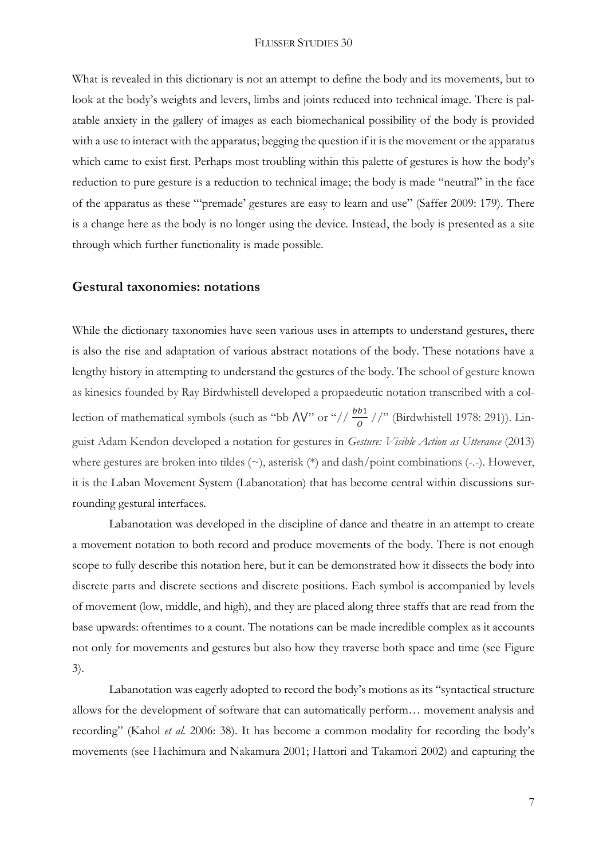What is revealed in this dictionary is not an attempt to define the body and its movements, but to look at the body's weights and levers, limbs and joints reduced into technical image. There is palatable anxiety in the gallery of images as each biomechanical possibility of the body is provided with a use to interact with the apparatus; begging the question if it is the movement or the apparatus which came to exist first. Perhaps most troubling within this palette of gestures is how the body's reduction to pure gesture is a reduction to technical image; the body is made "neutral" in the face of the apparatus as these "'premade' gestures are easy to learn and use" (Saffer 2009: 179). There is a change here as the body is no longer using the device. Instead, the body is presented as a site through which further functionality is made possible.

## **Gestural taxonomies: notations**

While the dictionary taxonomies have seen various uses in attempts to understand gestures, there is also the rise and adaptation of various abstract notations of the body. These notations have a lengthy history in attempting to understand the gestures of the body. The school of gesture known as kinesics founded by Ray Birdwhistell developed a propaedeutic notation transcribed with a collection of mathematical symbols (such as "bb  $\text{AV"}$  or "//  $\frac{bb1}{0}$  //" (Birdwhistell 1978: 291)). Linguist Adam Kendon developed a notation for gestures in *Gesture: Visible Action as Utterance* (2013) where gestures are broken into tildes (~), asterisk (\*) and dash/point combinations (-.-). However, it is the Laban Movement System (Labanotation) that has become central within discussions surrounding gestural interfaces.

Labanotation was developed in the discipline of dance and theatre in an attempt to create a movement notation to both record and produce movements of the body. There is not enough scope to fully describe this notation here, but it can be demonstrated how it dissects the body into discrete parts and discrete sections and discrete positions. Each symbol is accompanied by levels of movement (low, middle, and high), and they are placed along three staffs that are read from the base upwards: oftentimes to a count. The notations can be made incredible complex as it accounts not only for movements and gestures but also how they traverse both space and time (see Figure 3).

Labanotation was eagerly adopted to record the body's motions as its "syntactical structure allows for the development of software that can automatically perform… movement analysis and recording" (Kahol *et al.* 2006: 38). It has become a common modality for recording the body's movements (see Hachimura and Nakamura 2001; Hattori and Takamori 2002) and capturing the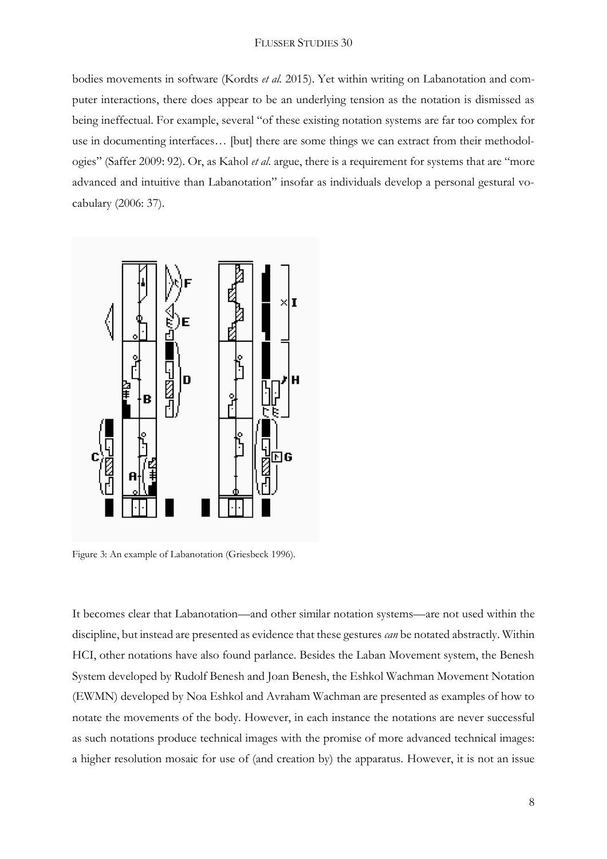bodies movements in software (Kordts *et al.* 2015). Yet within writing on Labanotation and computer interactions, there does appear to be an underlying tension as the notation is dismissed as being ineffectual. For example, several "of these existing notation systems are far too complex for use in documenting interfaces… [but] there are some things we can extract from their methodologies" (Saffer 2009: 92). Or, as Kahol *et al*. argue, there is a requirement for systems that are "more advanced and intuitive than Labanotation" insofar as individuals develop a personal gestural vocabulary (2006: 37).



Figure 3: An example of Labanotation (Griesbeck 1996).

It becomes clear that Labanotation—and other similar notation systems—are not used within the discipline, but instead are presented as evidence that these gestures *can* be notated abstractly. Within HCI, other notations have also found parlance. Besides the Laban Movement system, the Benesh System developed by Rudolf Benesh and Joan Benesh, the Eshkol Wachman Movement Notation (EWMN) developed by Noa Eshkol and Avraham Wachman are presented as examples of how to notate the movements of the body. However, in each instance the notations are never successful as such notations produce technical images with the promise of more advanced technical images: a higher resolution mosaic for use of (and creation by) the apparatus. However, it is not an issue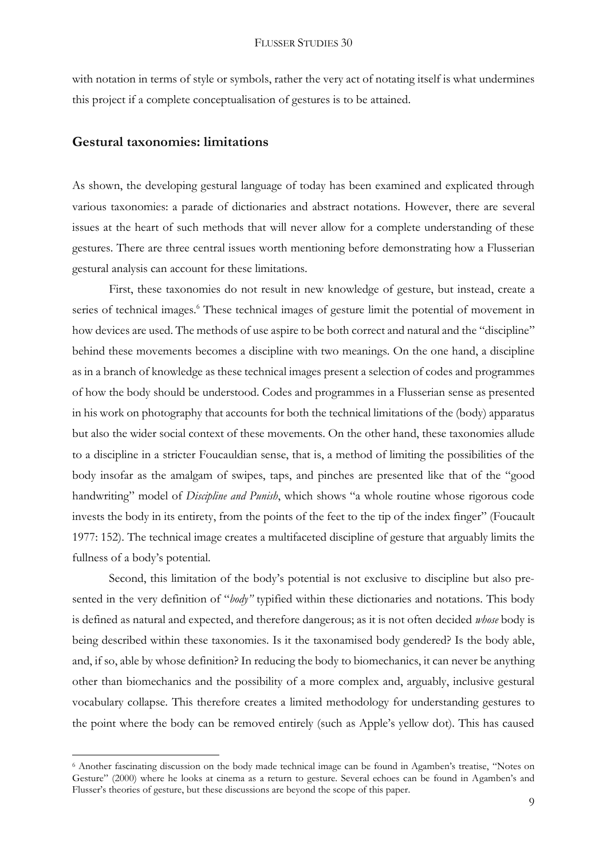with notation in terms of style or symbols, rather the very act of notating itself is what undermines this project if a complete conceptualisation of gestures is to be attained.

## **Gestural taxonomies: limitations**

 $\overline{a}$ 

As shown, the developing gestural language of today has been examined and explicated through various taxonomies: a parade of dictionaries and abstract notations. However, there are several issues at the heart of such methods that will never allow for a complete understanding of these gestures. There are three central issues worth mentioning before demonstrating how a Flusserian gestural analysis can account for these limitations.

First, these taxonomies do not result in new knowledge of gesture, but instead, create a series of technical images.<sup>6</sup> These technical images of gesture limit the potential of movement in how devices are used. The methods of use aspire to be both correct and natural and the "discipline" behind these movements becomes a discipline with two meanings. On the one hand, a discipline as in a branch of knowledge as these technical images present a selection of codes and programmes of how the body should be understood. Codes and programmes in a Flusserian sense as presented in his work on photography that accounts for both the technical limitations of the (body) apparatus but also the wider social context of these movements. On the other hand, these taxonomies allude to a discipline in a stricter Foucauldian sense, that is, a method of limiting the possibilities of the body insofar as the amalgam of swipes, taps, and pinches are presented like that of the "good handwriting" model of *Discipline and Punish*, which shows "a whole routine whose rigorous code invests the body in its entirety, from the points of the feet to the tip of the index finger" (Foucault 1977: 152). The technical image creates a multifaceted discipline of gesture that arguably limits the fullness of a body's potential.

Second, this limitation of the body's potential is not exclusive to discipline but also presented in the very definition of "*body"* typified within these dictionaries and notations. This body is defined as natural and expected, and therefore dangerous; as it is not often decided *whose* body is being described within these taxonomies. Is it the taxonamised body gendered? Is the body able, and, if so, able by whose definition? In reducing the body to biomechanics, it can never be anything other than biomechanics and the possibility of a more complex and, arguably, inclusive gestural vocabulary collapse. This therefore creates a limited methodology for understanding gestures to the point where the body can be removed entirely (such as Apple's yellow dot). This has caused

<sup>6</sup> Another fascinating discussion on the body made technical image can be found in Agamben's treatise, "Notes on Gesture" (2000) where he looks at cinema as a return to gesture. Several echoes can be found in Agamben's and Flusser's theories of gesture, but these discussions are beyond the scope of this paper.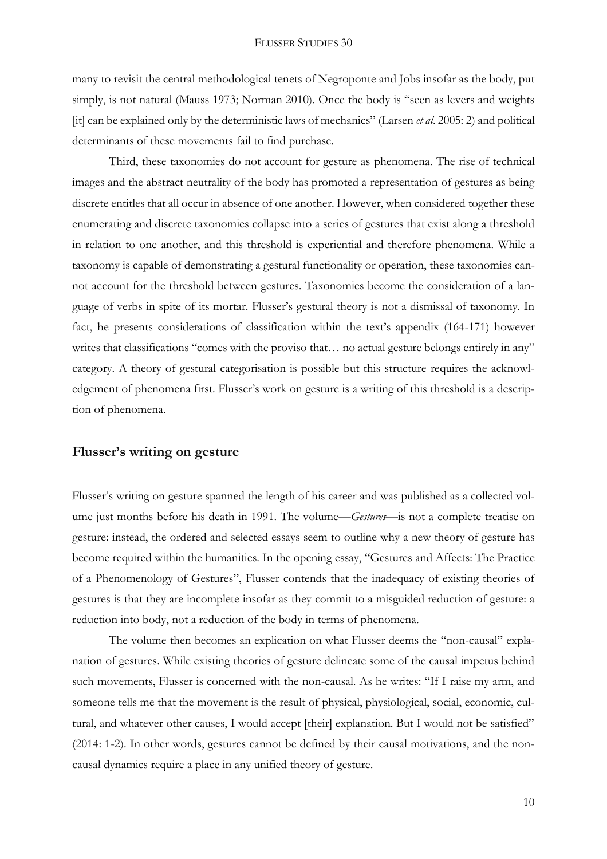many to revisit the central methodological tenets of Negroponte and Jobs insofar as the body, put simply, is not natural (Mauss 1973; Norman 2010). Once the body is "seen as levers and weights [it] can be explained only by the deterministic laws of mechanics" (Larsen *et al*. 2005: 2) and political determinants of these movements fail to find purchase.

Third, these taxonomies do not account for gesture as phenomena. The rise of technical images and the abstract neutrality of the body has promoted a representation of gestures as being discrete entitles that all occur in absence of one another. However, when considered together these enumerating and discrete taxonomies collapse into a series of gestures that exist along a threshold in relation to one another, and this threshold is experiential and therefore phenomena. While a taxonomy is capable of demonstrating a gestural functionality or operation, these taxonomies cannot account for the threshold between gestures. Taxonomies become the consideration of a language of verbs in spite of its mortar. Flusser's gestural theory is not a dismissal of taxonomy. In fact, he presents considerations of classification within the text's appendix (164-171) however writes that classifications "comes with the proviso that... no actual gesture belongs entirely in any" category. A theory of gestural categorisation is possible but this structure requires the acknowledgement of phenomena first. Flusser's work on gesture is a writing of this threshold is a description of phenomena.

## **Flusser's writing on gesture**

Flusser's writing on gesture spanned the length of his career and was published as a collected volume just months before his death in 1991. The volume—*Gestures*—is not a complete treatise on gesture: instead, the ordered and selected essays seem to outline why a new theory of gesture has become required within the humanities. In the opening essay, "Gestures and Affects: The Practice of a Phenomenology of Gestures", Flusser contends that the inadequacy of existing theories of gestures is that they are incomplete insofar as they commit to a misguided reduction of gesture: a reduction into body, not a reduction of the body in terms of phenomena.

The volume then becomes an explication on what Flusser deems the "non-causal" explanation of gestures. While existing theories of gesture delineate some of the causal impetus behind such movements, Flusser is concerned with the non-causal. As he writes: "If I raise my arm, and someone tells me that the movement is the result of physical, physiological, social, economic, cultural, and whatever other causes, I would accept [their] explanation. But I would not be satisfied" (2014: 1-2). In other words, gestures cannot be defined by their causal motivations, and the noncausal dynamics require a place in any unified theory of gesture.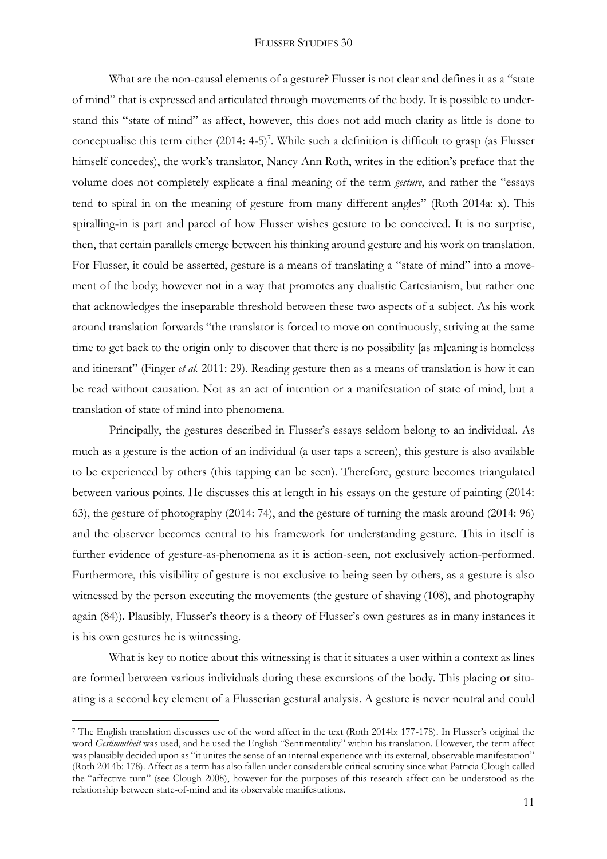What are the non-causal elements of a gesture? Flusser is not clear and defines it as a "state of mind" that is expressed and articulated through movements of the body. It is possible to understand this "state of mind" as affect, however, this does not add much clarity as little is done to conceptualise this term either  $(2014: 4-5)^7$ . While such a definition is difficult to grasp (as Flusser himself concedes), the work's translator, Nancy Ann Roth, writes in the edition's preface that the volume does not completely explicate a final meaning of the term *gesture*, and rather the "essays tend to spiral in on the meaning of gesture from many different angles" (Roth 2014a: x). This spiralling-in is part and parcel of how Flusser wishes gesture to be conceived. It is no surprise, then, that certain parallels emerge between his thinking around gesture and his work on translation. For Flusser, it could be asserted, gesture is a means of translating a "state of mind" into a movement of the body; however not in a way that promotes any dualistic Cartesianism, but rather one that acknowledges the inseparable threshold between these two aspects of a subject. As his work around translation forwards "the translator is forced to move on continuously, striving at the same time to get back to the origin only to discover that there is no possibility [as m]eaning is homeless and itinerant" (Finger *et al.* 2011: 29). Reading gesture then as a means of translation is how it can be read without causation. Not as an act of intention or a manifestation of state of mind, but a translation of state of mind into phenomena.

Principally, the gestures described in Flusser's essays seldom belong to an individual. As much as a gesture is the action of an individual (a user taps a screen), this gesture is also available to be experienced by others (this tapping can be seen). Therefore, gesture becomes triangulated between various points. He discusses this at length in his essays on the gesture of painting (2014: 63), the gesture of photography (2014: 74), and the gesture of turning the mask around (2014: 96) and the observer becomes central to his framework for understanding gesture. This in itself is further evidence of gesture-as-phenomena as it is action-seen, not exclusively action-performed. Furthermore, this visibility of gesture is not exclusive to being seen by others, as a gesture is also witnessed by the person executing the movements (the gesture of shaving (108), and photography again (84)). Plausibly, Flusser's theory is a theory of Flusser's own gestures as in many instances it is his own gestures he is witnessing.

What is key to notice about this witnessing is that it situates a user within a context as lines are formed between various individuals during these excursions of the body. This placing or situating is a second key element of a Flusserian gestural analysis. A gesture is never neutral and could

 $\overline{a}$ 

<sup>7</sup> The English translation discusses use of the word affect in the text (Roth 2014b: 177-178). In Flusser's original the word *Gestimmtheit* was used, and he used the English "Sentimentality" within his translation. However, the term affect was plausibly decided upon as "it unites the sense of an internal experience with its external, observable manifestation" (Roth 2014b: 178). Affect as a term has also fallen under considerable critical scrutiny since what Patricia Clough called the "affective turn" (see Clough 2008), however for the purposes of this research affect can be understood as the relationship between state-of-mind and its observable manifestations.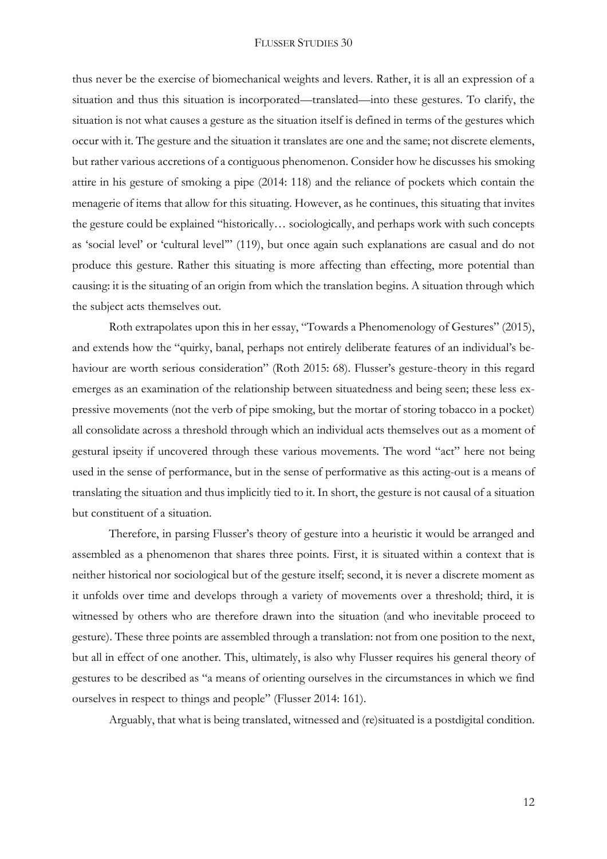thus never be the exercise of biomechanical weights and levers. Rather, it is all an expression of a situation and thus this situation is incorporated—translated—into these gestures. To clarify, the situation is not what causes a gesture as the situation itself is defined in terms of the gestures which occur with it. The gesture and the situation it translates are one and the same; not discrete elements, but rather various accretions of a contiguous phenomenon. Consider how he discusses his smoking attire in his gesture of smoking a pipe (2014: 118) and the reliance of pockets which contain the menagerie of items that allow for this situating. However, as he continues, this situating that invites the gesture could be explained "historically… sociologically, and perhaps work with such concepts as 'social level' or 'cultural level'" (119), but once again such explanations are casual and do not produce this gesture. Rather this situating is more affecting than effecting, more potential than causing: it is the situating of an origin from which the translation begins. A situation through which the subject acts themselves out.

Roth extrapolates upon this in her essay, "Towards a Phenomenology of Gestures" (2015), and extends how the "quirky, banal, perhaps not entirely deliberate features of an individual's behaviour are worth serious consideration" (Roth 2015: 68). Flusser's gesture-theory in this regard emerges as an examination of the relationship between situatedness and being seen; these less expressive movements (not the verb of pipe smoking, but the mortar of storing tobacco in a pocket) all consolidate across a threshold through which an individual acts themselves out as a moment of gestural ipseity if uncovered through these various movements. The word "act" here not being used in the sense of performance, but in the sense of performative as this acting-out is a means of translating the situation and thus implicitly tied to it. In short, the gesture is not causal of a situation but constituent of a situation.

Therefore, in parsing Flusser's theory of gesture into a heuristic it would be arranged and assembled as a phenomenon that shares three points. First, it is situated within a context that is neither historical nor sociological but of the gesture itself; second, it is never a discrete moment as it unfolds over time and develops through a variety of movements over a threshold; third, it is witnessed by others who are therefore drawn into the situation (and who inevitable proceed to gesture). These three points are assembled through a translation: not from one position to the next, but all in effect of one another. This, ultimately, is also why Flusser requires his general theory of gestures to be described as "a means of orienting ourselves in the circumstances in which we find ourselves in respect to things and people" (Flusser 2014: 161).

Arguably, that what is being translated, witnessed and (re)situated is a postdigital condition.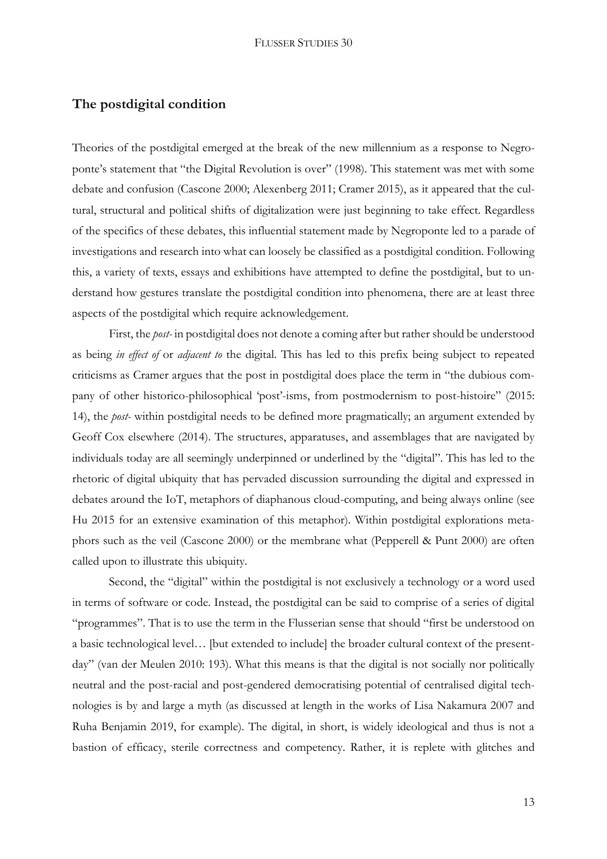# **The postdigital condition**

Theories of the postdigital emerged at the break of the new millennium as a response to Negroponte's statement that "the Digital Revolution is over" (1998). This statement was met with some debate and confusion (Cascone 2000; Alexenberg 2011; Cramer 2015), as it appeared that the cultural, structural and political shifts of digitalization were just beginning to take effect. Regardless of the specifics of these debates, this influential statement made by Negroponte led to a parade of investigations and research into what can loosely be classified as a postdigital condition. Following this, a variety of texts, essays and exhibitions have attempted to define the postdigital, but to understand how gestures translate the postdigital condition into phenomena, there are at least three aspects of the postdigital which require acknowledgement.

First, the *post-* in postdigital does not denote a coming after but rather should be understood as being *in effect of* or *adjacent to* the digital. This has led to this prefix being subject to repeated criticisms as Cramer argues that the post in postdigital does place the term in "the dubious company of other historico-philosophical 'post'-isms, from postmodernism to post-histoire" (2015: 14), the *post-* within postdigital needs to be defined more pragmatically; an argument extended by Geoff Cox elsewhere (2014). The structures, apparatuses, and assemblages that are navigated by individuals today are all seemingly underpinned or underlined by the "digital". This has led to the rhetoric of digital ubiquity that has pervaded discussion surrounding the digital and expressed in debates around the IoT, metaphors of diaphanous cloud-computing, and being always online (see Hu 2015 for an extensive examination of this metaphor). Within postdigital explorations metaphors such as the veil (Cascone 2000) or the membrane what (Pepperell & Punt 2000) are often called upon to illustrate this ubiquity.

Second, the "digital" within the postdigital is not exclusively a technology or a word used in terms of software or code. Instead, the postdigital can be said to comprise of a series of digital "programmes". That is to use the term in the Flusserian sense that should "first be understood on a basic technological level… [but extended to include] the broader cultural context of the presentday" (van der Meulen 2010: 193). What this means is that the digital is not socially nor politically neutral and the post-racial and post-gendered democratising potential of centralised digital technologies is by and large a myth (as discussed at length in the works of Lisa Nakamura 2007 and Ruha Benjamin 2019, for example). The digital, in short, is widely ideological and thus is not a bastion of efficacy, sterile correctness and competency. Rather, it is replete with glitches and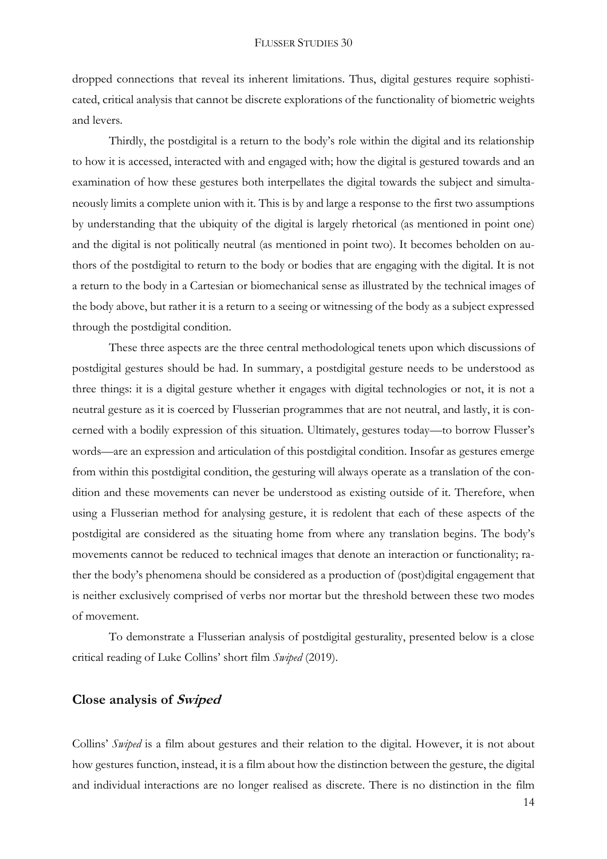dropped connections that reveal its inherent limitations. Thus, digital gestures require sophisticated, critical analysis that cannot be discrete explorations of the functionality of biometric weights and levers.

Thirdly, the postdigital is a return to the body's role within the digital and its relationship to how it is accessed, interacted with and engaged with; how the digital is gestured towards and an examination of how these gestures both interpellates the digital towards the subject and simultaneously limits a complete union with it. This is by and large a response to the first two assumptions by understanding that the ubiquity of the digital is largely rhetorical (as mentioned in point one) and the digital is not politically neutral (as mentioned in point two). It becomes beholden on authors of the postdigital to return to the body or bodies that are engaging with the digital. It is not a return to the body in a Cartesian or biomechanical sense as illustrated by the technical images of the body above, but rather it is a return to a seeing or witnessing of the body as a subject expressed through the postdigital condition.

These three aspects are the three central methodological tenets upon which discussions of postdigital gestures should be had. In summary, a postdigital gesture needs to be understood as three things: it is a digital gesture whether it engages with digital technologies or not, it is not a neutral gesture as it is coerced by Flusserian programmes that are not neutral, and lastly, it is concerned with a bodily expression of this situation. Ultimately, gestures today—to borrow Flusser's words—are an expression and articulation of this postdigital condition. Insofar as gestures emerge from within this postdigital condition, the gesturing will always operate as a translation of the condition and these movements can never be understood as existing outside of it. Therefore, when using a Flusserian method for analysing gesture, it is redolent that each of these aspects of the postdigital are considered as the situating home from where any translation begins. The body's movements cannot be reduced to technical images that denote an interaction or functionality; rather the body's phenomena should be considered as a production of (post)digital engagement that is neither exclusively comprised of verbs nor mortar but the threshold between these two modes of movement.

To demonstrate a Flusserian analysis of postdigital gesturality, presented below is a close critical reading of Luke Collins' short film *Swiped* (2019).

## **Close analysis of Swiped**

Collins' *Swiped* is a film about gestures and their relation to the digital. However, it is not about how gestures function, instead, it is a film about how the distinction between the gesture, the digital and individual interactions are no longer realised as discrete. There is no distinction in the film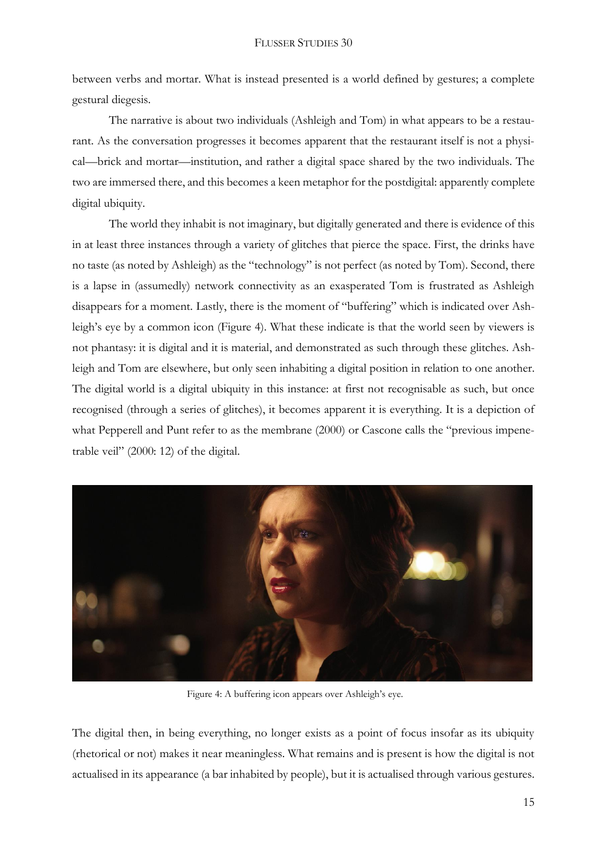between verbs and mortar. What is instead presented is a world defined by gestures; a complete gestural diegesis.

The narrative is about two individuals (Ashleigh and Tom) in what appears to be a restaurant. As the conversation progresses it becomes apparent that the restaurant itself is not a physical—brick and mortar—institution, and rather a digital space shared by the two individuals. The two are immersed there, and this becomes a keen metaphor for the postdigital: apparently complete digital ubiquity.

The world they inhabit is not imaginary, but digitally generated and there is evidence of this in at least three instances through a variety of glitches that pierce the space. First, the drinks have no taste (as noted by Ashleigh) as the "technology" is not perfect (as noted by Tom). Second, there is a lapse in (assumedly) network connectivity as an exasperated Tom is frustrated as Ashleigh disappears for a moment. Lastly, there is the moment of "buffering" which is indicated over Ashleigh's eye by a common icon (Figure 4). What these indicate is that the world seen by viewers is not phantasy: it is digital and it is material, and demonstrated as such through these glitches. Ashleigh and Tom are elsewhere, but only seen inhabiting a digital position in relation to one another. The digital world is a digital ubiquity in this instance: at first not recognisable as such, but once recognised (through a series of glitches), it becomes apparent it is everything. It is a depiction of what Pepperell and Punt refer to as the membrane (2000) or Cascone calls the "previous impenetrable veil" (2000: 12) of the digital.



Figure 4: A buffering icon appears over Ashleigh's eye.

The digital then, in being everything, no longer exists as a point of focus insofar as its ubiquity (rhetorical or not) makes it near meaningless. What remains and is present is how the digital is not actualised in its appearance (a bar inhabited by people), but it is actualised through various gestures.

15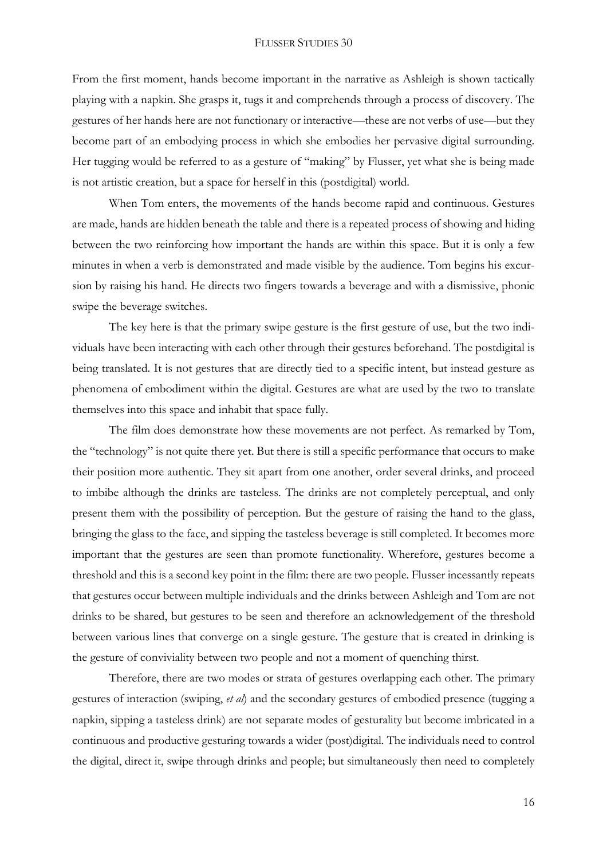From the first moment, hands become important in the narrative as Ashleigh is shown tactically playing with a napkin. She grasps it, tugs it and comprehends through a process of discovery. The gestures of her hands here are not functionary or interactive—these are not verbs of use—but they become part of an embodying process in which she embodies her pervasive digital surrounding. Her tugging would be referred to as a gesture of "making" by Flusser, yet what she is being made is not artistic creation, but a space for herself in this (postdigital) world.

When Tom enters, the movements of the hands become rapid and continuous. Gestures are made, hands are hidden beneath the table and there is a repeated process of showing and hiding between the two reinforcing how important the hands are within this space. But it is only a few minutes in when a verb is demonstrated and made visible by the audience. Tom begins his excursion by raising his hand. He directs two fingers towards a beverage and with a dismissive, phonic swipe the beverage switches.

The key here is that the primary swipe gesture is the first gesture of use, but the two individuals have been interacting with each other through their gestures beforehand. The postdigital is being translated. It is not gestures that are directly tied to a specific intent, but instead gesture as phenomena of embodiment within the digital. Gestures are what are used by the two to translate themselves into this space and inhabit that space fully.

The film does demonstrate how these movements are not perfect. As remarked by Tom, the "technology" is not quite there yet. But there is still a specific performance that occurs to make their position more authentic. They sit apart from one another, order several drinks, and proceed to imbibe although the drinks are tasteless. The drinks are not completely perceptual, and only present them with the possibility of perception. But the gesture of raising the hand to the glass, bringing the glass to the face, and sipping the tasteless beverage is still completed. It becomes more important that the gestures are seen than promote functionality. Wherefore, gestures become a threshold and this is a second key point in the film: there are two people. Flusser incessantly repeats that gestures occur between multiple individuals and the drinks between Ashleigh and Tom are not drinks to be shared, but gestures to be seen and therefore an acknowledgement of the threshold between various lines that converge on a single gesture. The gesture that is created in drinking is the gesture of conviviality between two people and not a moment of quenching thirst.

Therefore, there are two modes or strata of gestures overlapping each other. The primary gestures of interaction (swiping, *et al*) and the secondary gestures of embodied presence (tugging a napkin, sipping a tasteless drink) are not separate modes of gesturality but become imbricated in a continuous and productive gesturing towards a wider (post)digital. The individuals need to control the digital, direct it, swipe through drinks and people; but simultaneously then need to completely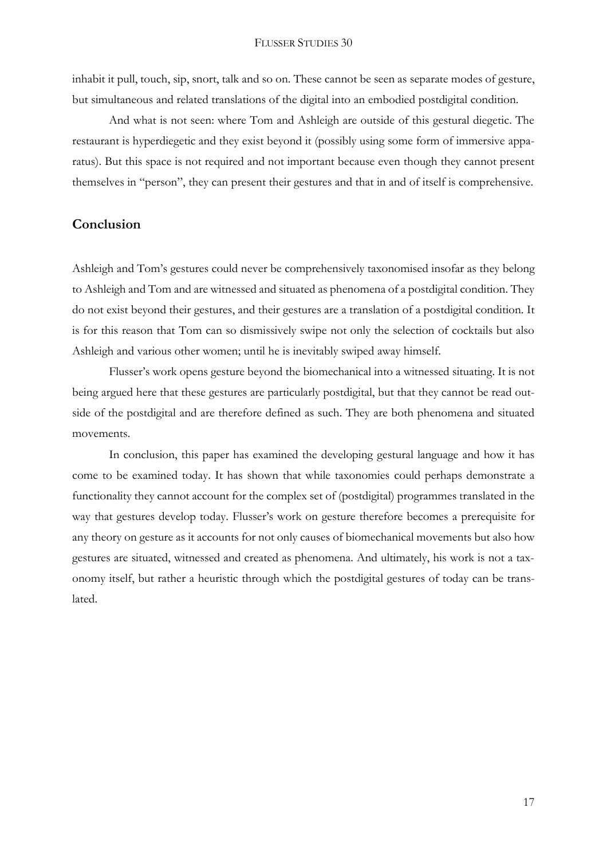inhabit it pull, touch, sip, snort, talk and so on. These cannot be seen as separate modes of gesture, but simultaneous and related translations of the digital into an embodied postdigital condition.

And what is not seen: where Tom and Ashleigh are outside of this gestural diegetic. The restaurant is hyperdiegetic and they exist beyond it (possibly using some form of immersive apparatus). But this space is not required and not important because even though they cannot present themselves in "person", they can present their gestures and that in and of itself is comprehensive.

## **Conclusion**

Ashleigh and Tom's gestures could never be comprehensively taxonomised insofar as they belong to Ashleigh and Tom and are witnessed and situated as phenomena of a postdigital condition. They do not exist beyond their gestures, and their gestures are a translation of a postdigital condition. It is for this reason that Tom can so dismissively swipe not only the selection of cocktails but also Ashleigh and various other women; until he is inevitably swiped away himself.

Flusser's work opens gesture beyond the biomechanical into a witnessed situating. It is not being argued here that these gestures are particularly postdigital, but that they cannot be read outside of the postdigital and are therefore defined as such. They are both phenomena and situated movements.

In conclusion, this paper has examined the developing gestural language and how it has come to be examined today. It has shown that while taxonomies could perhaps demonstrate a functionality they cannot account for the complex set of (postdigital) programmes translated in the way that gestures develop today. Flusser's work on gesture therefore becomes a prerequisite for any theory on gesture as it accounts for not only causes of biomechanical movements but also how gestures are situated, witnessed and created as phenomena. And ultimately, his work is not a taxonomy itself, but rather a heuristic through which the postdigital gestures of today can be translated.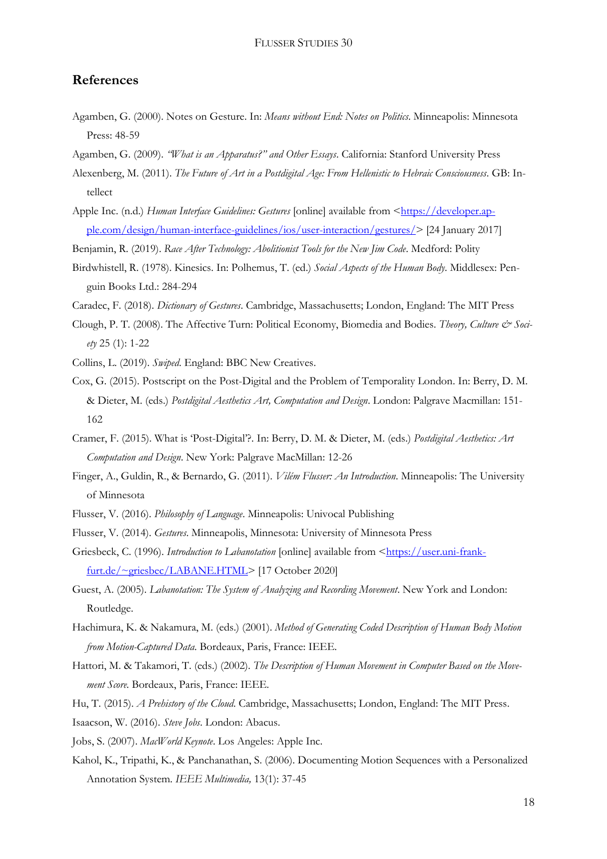## **References**

- Agamben, G. (2000). Notes on Gesture. In: *Means without End: Notes on Politics*. Minneapolis: Minnesota Press: 48-59
- Agamben, G. (2009). *"What is an Apparatus?" and Other Essays*. California: Stanford University Press
- Alexenberg, M. (2011). *The Future of Art in a Postdigital Age: From Hellenistic to Hebraic Consciousness*. GB: Intellect
- Apple Inc. (n.d.) *Human Interface Guidelines: Gestures* [online] available from [<https://developer.ap](https://developer.apple.com/design/human-interface-guidelines/ios/user-interaction/gestures/)[ple.com/design/human-interface-guidelines/ios/user-interaction/gestures/>](https://developer.apple.com/design/human-interface-guidelines/ios/user-interaction/gestures/) [24 January 2017]
- Benjamin, R. (2019). *Race After Technology: Abolitionist Tools for the New Jim Code*. Medford: Polity
- Birdwhistell, R. (1978). Kinesics. In: Polhemus, T. (ed.) *Social Aspects of the Human Body*. Middlesex: Penguin Books Ltd.: 284-294
- Caradec, F. (2018). *Dictionary of Gestures*. Cambridge, Massachusetts; London, England: The MIT Press
- Clough, P. T. (2008). The Affective Turn: Political Economy, Biomedia and Bodies. *Theory, Culture & Society* 25 (1): 1-22
- Collins, L. (2019). *Swiped*. England: BBC New Creatives.
- Cox, G. (2015). Postscript on the Post-Digital and the Problem of Temporality London. In: Berry, D. M. & Dieter, M. (eds.) *Postdigital Aesthetics Art, Computation and Design*. London: Palgrave Macmillan: 151- 162
- Cramer, F. (2015). What is 'Post-Digital'?. In: Berry, D. M. & Dieter, M. (eds.) *Postdigital Aesthetics: Art Computation and Design*. New York: Palgrave MacMillan: 12-26
- Finger, A., Guldin, R., & Bernardo, G. (2011). *Vilém Flusser: An Introduction*. Minneapolis: The University of Minnesota
- Flusser, V. (2016). *Philosophy of Language*. Minneapolis: Univocal Publishing
- Flusser, V. (2014). *Gestures*. Minneapolis, Minnesota: University of Minnesota Press
- Griesbeck, C. (1996). *Introduction to Labanotation* [online] available from [<https://user.uni-frank](https://user.uni-frankfurt.de/~griesbec/LABANE.HTML)[furt.de/~griesbec/LABANE.HTML>](https://user.uni-frankfurt.de/~griesbec/LABANE.HTML) [17 October 2020]
- Guest, A. (2005). *Labanotation: The System of Analyzing and Recording Movement*. New York and London: Routledge.
- Hachimura, K. & Nakamura, M. (eds.) (2001). *Method of Generating Coded Description of Human Body Motion from Motion-Captured Data.* Bordeaux, Paris, France: IEEE.
- Hattori, M. & Takamori, T. (eds.) (2002). *The Description of Human Movement in Computer Based on the Movement Score.* Bordeaux, Paris, France: IEEE.
- Hu, T. (2015). *A Prehistory of the Cloud*. Cambridge, Massachusetts; London, England: The MIT Press.
- Isaacson, W. (2016). *Steve Jobs*. London: Abacus.
- Jobs, S. (2007). *MacWorld Keynote*. Los Angeles: Apple Inc.
- Kahol, K., Tripathi, K., & Panchanathan, S. (2006). Documenting Motion Sequences with a Personalized Annotation System*. IEEE Multimedia,* 13(1): 37-45